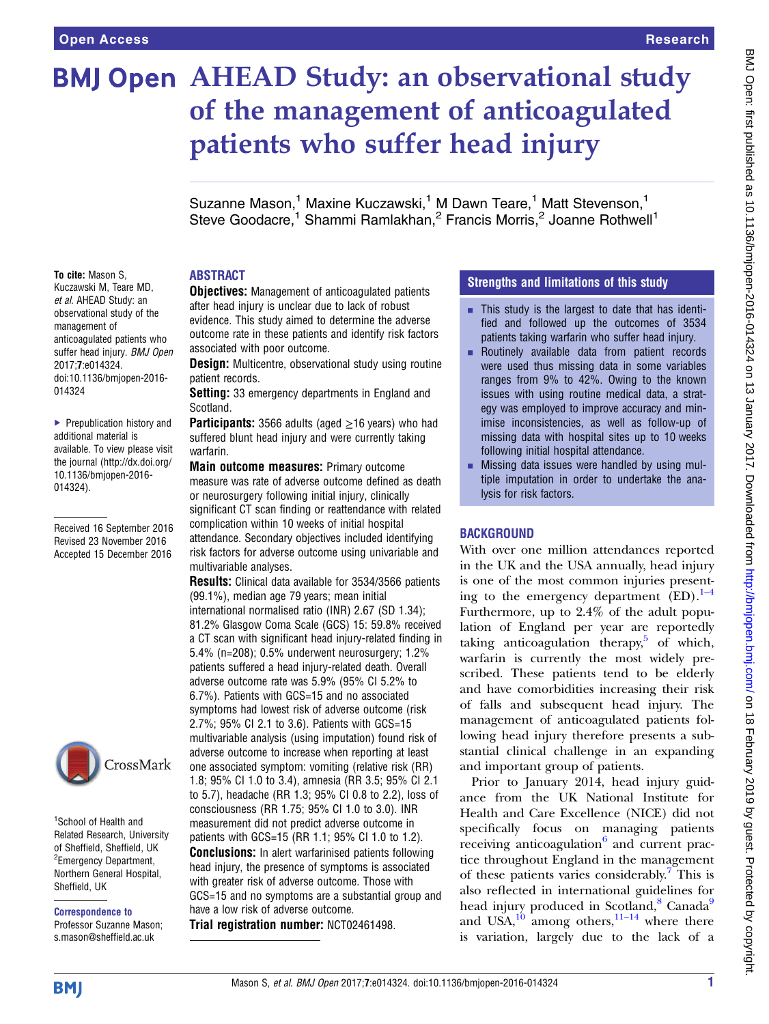# **BMJ Open AHEAD Study: an observational study** of the management of anticoagulated patients who suffer head injury

Suzanne Mason,<sup>1</sup> Maxine Kuczawski,<sup>1</sup> M Dawn Teare,<sup>1</sup> Matt Stevenson,<sup>1</sup> Steve Goodacre,<sup>1</sup> Shammi Ramlakhan,<sup>2</sup> Francis Morris,<sup>2</sup> Joanne Rothwell<sup>1</sup>

## ABSTRACT

To cite: Mason S, Kuczawski M, Teare MD, et al. AHEAD Study: an observational study of the management of anticoagulated patients who suffer head injury. BMJ Open 2017;7:e014324. doi:10.1136/bmjopen-2016- 014324

▶ Prepublication history and additional material is available. To view please visit the journal [\(http://dx.doi.org/](http://dx.doi.org/10.1136/bmjopen-2016-014324) [10.1136/bmjopen-2016-](http://dx.doi.org/10.1136/bmjopen-2016-014324) [014324\)](http://dx.doi.org/10.1136/bmjopen-2016-014324).

Received 16 September 2016 Revised 23 November 2016 Accepted 15 December 2016



1 School of Health and Related Research, University of Sheffield, Sheffield, UK <sup>2</sup> Emergency Department, Northern General Hospital, Sheffield, UK

Correspondence to

Professor Suzanne Mason; s.mason@sheffield.ac.uk

**Objectives:** Management of anticoagulated patients after head injury is unclear due to lack of robust evidence. This study aimed to determine the adverse outcome rate in these patients and identify risk factors associated with poor outcome.

**Design:** Multicentre, observational study using routine patient records.

Setting: 33 emergency departments in England and Scotland.

**Participants:** 3566 adults (aged  $\geq$ 16 years) who had suffered blunt head injury and were currently taking warfarin.

Main outcome measures: Primary outcome measure was rate of adverse outcome defined as death or neurosurgery following initial injury, clinically significant CT scan finding or reattendance with related complication within 10 weeks of initial hospital attendance. Secondary objectives included identifying risk factors for adverse outcome using univariable and multivariable analyses.

Results: Clinical data available for 3534/3566 patients (99.1%), median age 79 years; mean initial international normalised ratio (INR) 2.67 (SD 1.34); 81.2% Glasgow Coma Scale (GCS) 15: 59.8% received a CT scan with significant head injury-related finding in 5.4% (n=208); 0.5% underwent neurosurgery; 1.2% patients suffered a head injury-related death. Overall adverse outcome rate was 5.9% (95% CI 5.2% to 6.7%). Patients with GCS=15 and no associated symptoms had lowest risk of adverse outcome (risk 2.7%; 95% CI 2.1 to 3.6). Patients with GCS=15 multivariable analysis (using imputation) found risk of adverse outcome to increase when reporting at least one associated symptom: vomiting (relative risk (RR) 1.8; 95% CI 1.0 to 3.4), amnesia (RR 3.5; 95% CI 2.1 to 5.7), headache (RR 1.3; 95% CI 0.8 to 2.2), loss of consciousness (RR 1.75; 95% CI 1.0 to 3.0). INR measurement did not predict adverse outcome in patients with GCS=15 (RR 1.1; 95% CI 1.0 to 1.2). **Conclusions:** In alert warfarinised patients following head injury, the presence of symptoms is associated

with greater risk of adverse outcome. Those with GCS=15 and no symptoms are a substantial group and have a low risk of adverse outcome.

Trial registration number: NCT02461498.

# Strengths and limitations of this study

- $\blacksquare$  This study is the largest to date that has identified and followed up the outcomes of 3534 patients taking warfarin who suffer head injury.
- **E.** Routinely available data from patient records were used thus missing data in some variables ranges from 9% to 42%. Owing to the known issues with using routine medical data, a strategy was employed to improve accuracy and minimise inconsistencies, as well as follow-up of missing data with hospital sites up to 10 weeks following initial hospital attendance.
- **EXECUTE:** Missing data issues were handled by using multiple imputation in order to undertake the analysis for risk factors.

# BACKGROUND

With over one million attendances reported in the UK and the USA annually, head injury is one of the most common injuries presenting to the emergency department  $\overline{(ED)}$ .<sup>[1](#page-7-0)–4</sup> Furthermore, up to 2.4% of the adult population of England per year are reportedly taking anticoagulation therapy, $5$  of which, warfarin is currently the most widely prescribed. These patients tend to be elderly and have comorbidities increasing their risk of falls and subsequent head injury. The management of anticoagulated patients following head injury therefore presents a substantial clinical challenge in an expanding and important group of patients.

Prior to January 2014, head injury guidance from the UK National Institute for Health and Care Excellence (NICE) did not specifically focus on managing patients receiving anticoagulation $6$  and current practice throughout England in the management of these patients varies considerably.[7](#page-7-0) This is also reflected in international guidelines for head injury produced in Scotland, $8$  Canada $9$ and USA, $10^{10}$  $10^{10}$  among others,  $11-14$  $11-14$  where there is variation, largely due to the lack of a

**BMJ**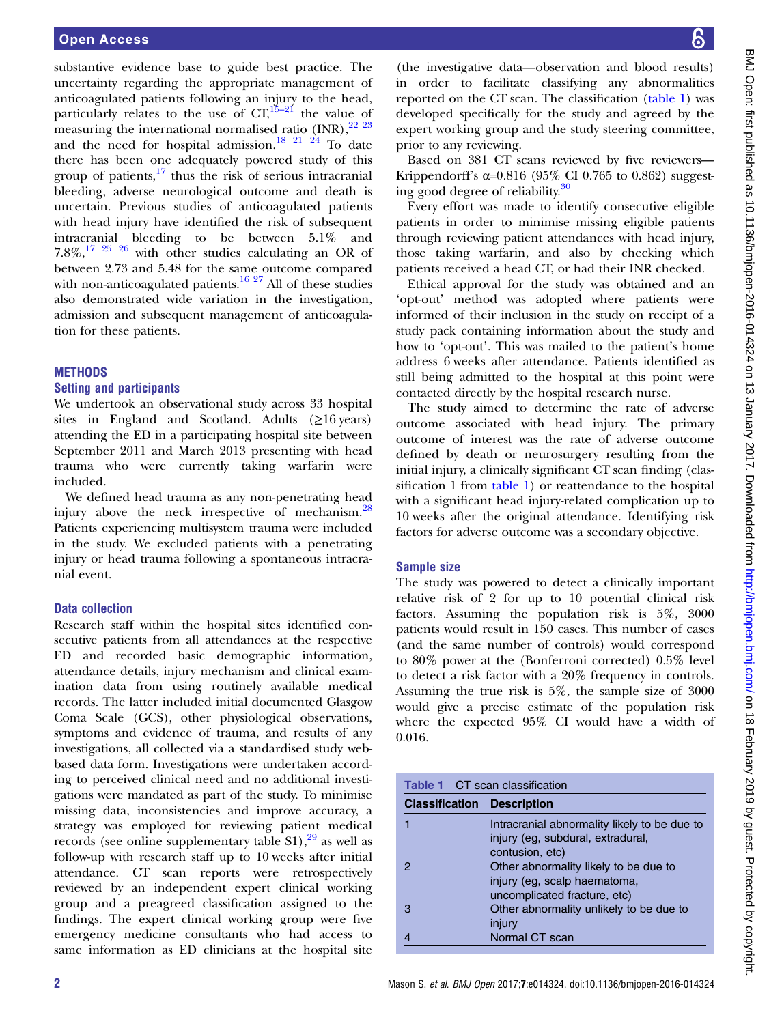substantive evidence base to guide best practice. The uncertainty regarding the appropriate management of anticoagulated patients following an injury to the head, particularly relates to the use of  $CT<sub>1</sub><sup>15-21</sup>$  $CT<sub>1</sub><sup>15-21</sup>$  $CT<sub>1</sub><sup>15-21</sup>$  the value of measuring the international normalised ratio  $\text{(INR)}$ ,  $^{22\ 23}$ and the need for hospital admission.<sup>[18 21 24](#page-7-0)</sup> To date there has been one adequately powered study of this group of patients, $\frac{17}{17}$  $\frac{17}{17}$  $\frac{17}{17}$  thus the risk of serious intracranial bleeding, adverse neurological outcome and death is uncertain. Previous studies of anticoagulated patients with head injury have identified the risk of subsequent intracranial bleeding to be between 5.1% and  $7.8\%,^{17}$   $^{25}$   $^{26}$  with other studies calculating an OR of between 2.73 and 5.48 for the same outcome compared with non-anticoagulated patients.<sup>[16 27](#page-7-0)</sup> All of these studies also demonstrated wide variation in the investigation, admission and subsequent management of anticoagulation for these patients.

#### **METHODS**

#### Setting and participants

We undertook an observational study across 33 hospital sites in England and Scotland. Adults  $(\geq 16 \text{ years})$ attending the ED in a participating hospital site between September 2011 and March 2013 presenting with head trauma who were currently taking warfarin were included.

We defined head trauma as any non-penetrating head injury above the neck irrespective of mechanism.<sup>[28](#page-7-0)</sup> Patients experiencing multisystem trauma were included in the study. We excluded patients with a penetrating injury or head trauma following a spontaneous intracranial event.

### Data collection

Research staff within the hospital sites identified consecutive patients from all attendances at the respective ED and recorded basic demographic information, attendance details, injury mechanism and clinical examination data from using routinely available medical records. The latter included initial documented Glasgow Coma Scale (GCS), other physiological observations, symptoms and evidence of trauma, and results of any investigations, all collected via a standardised study webbased data form. Investigations were undertaken according to perceived clinical need and no additional investigations were mandated as part of the study. To minimise missing data, inconsistencies and improve accuracy, a strategy was employed for reviewing patient medical records (see online supplementary table  $S1$ ),<sup>[29](#page-7-0)</sup> as well as follow-up with research staff up to 10 weeks after initial attendance. CT scan reports were retrospectively reviewed by an independent expert clinical working group and a preagreed classification assigned to the findings. The expert clinical working group were five emergency medicine consultants who had access to same information as ED clinicians at the hospital site

(the investigative data—observation and blood results) in order to facilitate classifying any abnormalities reported on the CT scan. The classification (table 1) was developed specifically for the study and agreed by the expert working group and the study steering committee, prior to any reviewing.

Based on 381 CT scans reviewed by five reviewers— Krippendorff's  $\alpha$ =0.816 (95% CI 0.765 to 0.862) suggesting good degree of reliability[.30](#page-7-0)

Every effort was made to identify consecutive eligible patients in order to minimise missing eligible patients through reviewing patient attendances with head injury, those taking warfarin, and also by checking which patients received a head CT, or had their INR checked.

Ethical approval for the study was obtained and an 'opt-out' method was adopted where patients were informed of their inclusion in the study on receipt of a study pack containing information about the study and how to 'opt-out'. This was mailed to the patient's home address 6 weeks after attendance. Patients identified as still being admitted to the hospital at this point were contacted directly by the hospital research nurse.

The study aimed to determine the rate of adverse outcome associated with head injury. The primary outcome of interest was the rate of adverse outcome defined by death or neurosurgery resulting from the initial injury, a clinically significant CT scan finding (classification 1 from table 1) or reattendance to the hospital with a significant head injury-related complication up to 10 weeks after the original attendance. Identifying risk factors for adverse outcome was a secondary objective.

#### Sample size

The study was powered to detect a clinically important relative risk of 2 for up to 10 potential clinical risk factors. Assuming the population risk is 5%, 3000 patients would result in 150 cases. This number of cases (and the same number of controls) would correspond to 80% power at the (Bonferroni corrected) 0.5% level to detect a risk factor with a 20% frequency in controls. Assuming the true risk is 5%, the sample size of 3000 would give a precise estimate of the population risk where the expected 95% CI would have a width of 0.016.

| <b>Table 1 CT scan classification</b> |                                                                                                       |  |  |
|---------------------------------------|-------------------------------------------------------------------------------------------------------|--|--|
| <b>Classification Description</b>     |                                                                                                       |  |  |
|                                       | Intracranial abnormality likely to be due to<br>injury (eg, subdural, extradural,<br>contusion, etc)  |  |  |
|                                       | Other abnormality likely to be due to<br>injury (eg, scalp haematoma,<br>uncomplicated fracture, etc) |  |  |
| З                                     | Other abnormality unlikely to be due to<br>injury                                                     |  |  |
|                                       | Normal CT scan                                                                                        |  |  |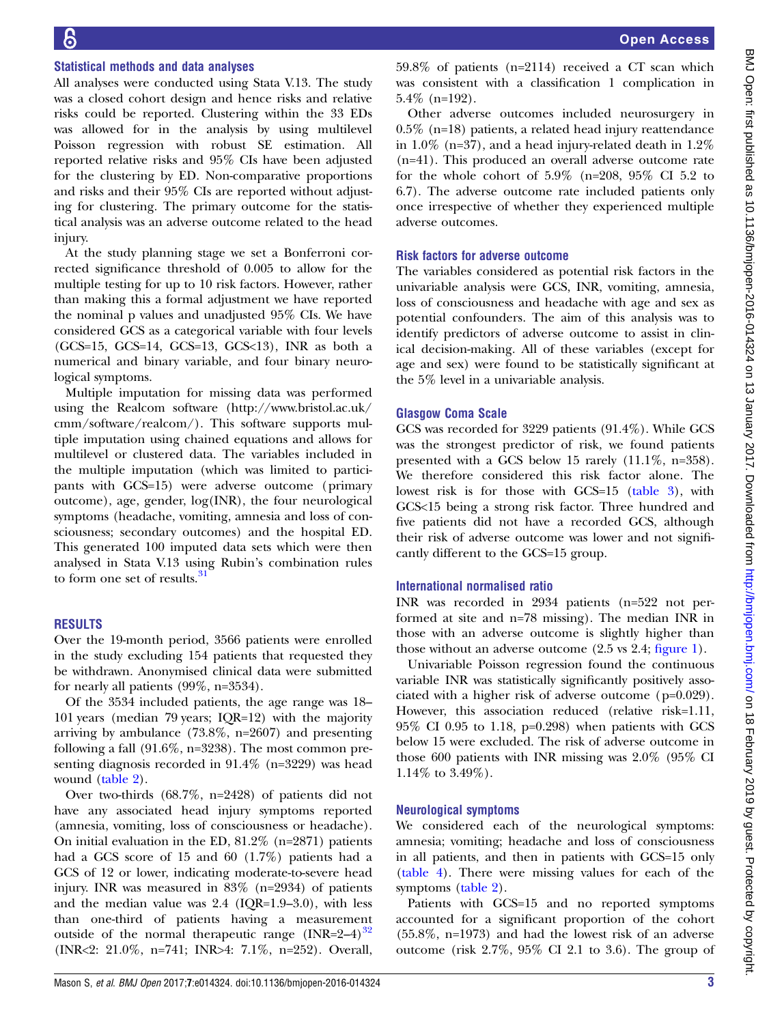#### Statistical methods and data analyses

All analyses were conducted using Stata V.13. The study was a closed cohort design and hence risks and relative risks could be reported. Clustering within the 33 EDs was allowed for in the analysis by using multilevel Poisson regression with robust SE estimation. All reported relative risks and 95% CIs have been adjusted for the clustering by ED. Non-comparative proportions and risks and their 95% CIs are reported without adjusting for clustering. The primary outcome for the statistical analysis was an adverse outcome related to the head injury.

At the study planning stage we set a Bonferroni corrected significance threshold of 0.005 to allow for the multiple testing for up to 10 risk factors. However, rather than making this a formal adjustment we have reported the nominal p values and unadjusted 95% CIs. We have considered GCS as a categorical variable with four levels  $(GCS=15, GCS=14, GCS=13, GCS<13)$ , INR as both a numerical and binary variable, and four binary neurological symptoms.

Multiple imputation for missing data was performed using the Realcom software [\(http://www.bristol.ac.uk/](http://www.bristol.ac.uk/cmm/software/realcom/) [cmm/software/realcom/\)](http://www.bristol.ac.uk/cmm/software/realcom/). This software supports multiple imputation using chained equations and allows for multilevel or clustered data. The variables included in the multiple imputation (which was limited to participants with GCS=15) were adverse outcome (primary outcome), age, gender, log(INR), the four neurological symptoms (headache, vomiting, amnesia and loss of consciousness; secondary outcomes) and the hospital ED. This generated 100 imputed data sets which were then analysed in Stata V.13 using Rubin's combination rules to form one set of results.<sup>[31](#page-7-0)</sup>

#### RESULTS

Over the 19-month period, 3566 patients were enrolled in the study excluding 154 patients that requested they be withdrawn. Anonymised clinical data were submitted for nearly all patients (99%, n=3534).

Of the 3534 included patients, the age range was 18– 101 years (median 79 years; IQR=12) with the majority arriving by ambulance (73.8%, n=2607) and presenting following a fall (91.6%, n=3238). The most common presenting diagnosis recorded in 91.4% (n=3229) was head wound [\(table 2\)](#page-3-0).

Over two-thirds (68.7%, n=2428) of patients did not have any associated head injury symptoms reported (amnesia, vomiting, loss of consciousness or headache). On initial evaluation in the ED, 81.2% (n=2871) patients had a GCS score of 15 and 60 (1.7%) patients had a GCS of 12 or lower, indicating moderate-to-severe head injury. INR was measured in 83% (n=2934) of patients and the median value was 2.4 (IQR=1.9–3.0), with less than one-third of patients having a measurement outside of the normal therapeutic range  $(INR=2-4)^{32}$  $(INR=2-4)^{32}$  $(INR=2-4)^{32}$ (INR<2: 21.0%, n=741; INR>4: 7.1%, n=252). Overall,

59.8% of patients (n=2114) received a CT scan which was consistent with a classification 1 complication in 5.4% (n=192).

Other adverse outcomes included neurosurgery in 0.5% (n=18) patients, a related head injury reattendance in 1.0% (n=37), and a head injury-related death in  $1.2\%$ (n=41). This produced an overall adverse outcome rate for the whole cohort of  $5.9\%$  (n=208,  $95\%$  CI 5.2 to 6.7). The adverse outcome rate included patients only once irrespective of whether they experienced multiple adverse outcomes.

#### Risk factors for adverse outcome

The variables considered as potential risk factors in the univariable analysis were GCS, INR, vomiting, amnesia, loss of consciousness and headache with age and sex as potential confounders. The aim of this analysis was to identify predictors of adverse outcome to assist in clinical decision-making. All of these variables (except for age and sex) were found to be statistically significant at the 5% level in a univariable analysis.

## Glasgow Coma Scale

GCS was recorded for 3229 patients (91.4%). While GCS was the strongest predictor of risk, we found patients presented with a GCS below 15 rarely (11.1%, n=358). We therefore considered this risk factor alone. The lowest risk is for those with GCS=15 ([table 3](#page-4-0)), with GCS<15 being a strong risk factor. Three hundred and five patients did not have a recorded GCS, although their risk of adverse outcome was lower and not significantly different to the GCS=15 group.

#### International normalised ratio

INR was recorded in 2934 patients (n=522 not performed at site and n=78 missing). The median INR in those with an adverse outcome is slightly higher than those without an adverse outcome (2.5 vs 2.4; fi[gure 1\)](#page-4-0).

Univariable Poisson regression found the continuous variable INR was statistically significantly positively associated with a higher risk of adverse outcome (p=0.029). However, this association reduced (relative risk=1.11, 95% CI 0.95 to 1.18, p=0.298) when patients with GCS below 15 were excluded. The risk of adverse outcome in those 600 patients with INR missing was 2.0% (95% CI 1.14% to 3.49%).

#### Neurological symptoms

We considered each of the neurological symptoms: amnesia; vomiting; headache and loss of consciousness in all patients, and then in patients with GCS=15 only [\(table 4](#page-5-0)). There were missing values for each of the symptoms ([table 2](#page-3-0)).

Patients with GCS=15 and no reported symptoms accounted for a significant proportion of the cohort (55.8%, n=1973) and had the lowest risk of an adverse outcome (risk 2.7%, 95% CI 2.1 to 3.6). The group of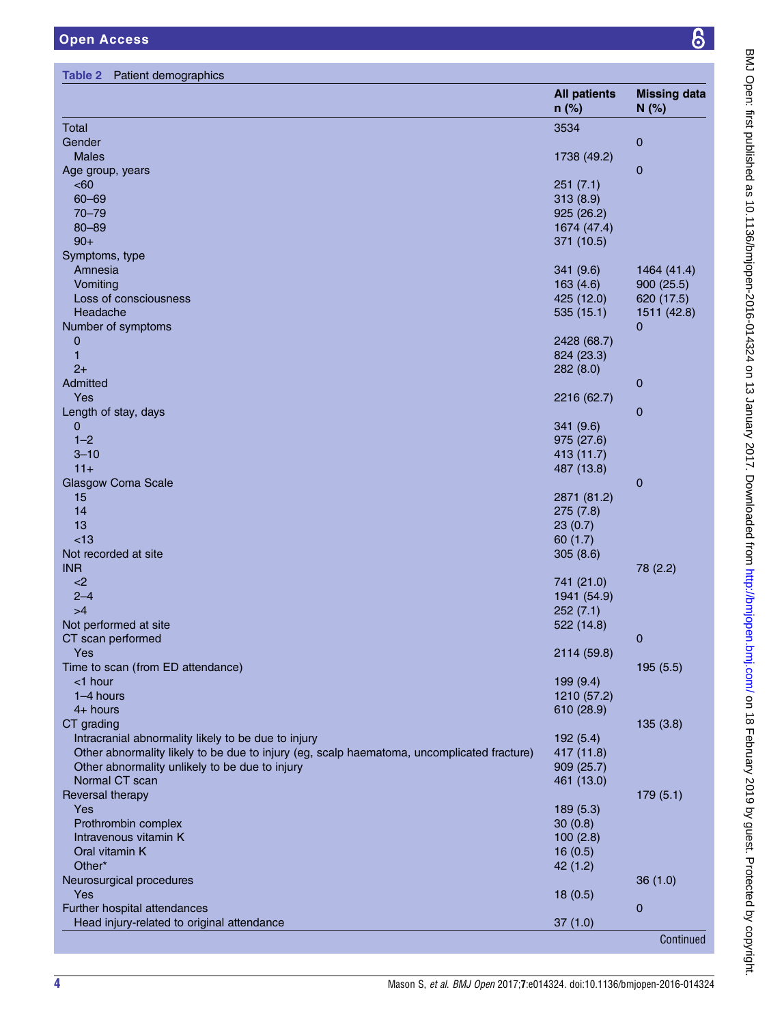<span id="page-3-0"></span>

|                                                                                            | <b>All patients</b><br>$n$ (%) | <b>Missing data</b><br>N(%) |
|--------------------------------------------------------------------------------------------|--------------------------------|-----------------------------|
| Total                                                                                      | 3534                           |                             |
| Gender                                                                                     |                                | $\mathbf 0$                 |
| <b>Males</b>                                                                               | 1738 (49.2)                    |                             |
| Age group, years                                                                           |                                | $\mathbf 0$                 |
| <60                                                                                        | 251(7.1)                       |                             |
| $60 - 69$                                                                                  | 313(8.9)                       |                             |
| $70 - 79$                                                                                  | 925 (26.2)                     |                             |
| $80 - 89$                                                                                  | 1674 (47.4)                    |                             |
| $90+$                                                                                      | 371 (10.5)                     |                             |
| Symptoms, type                                                                             |                                |                             |
| Amnesia                                                                                    | 341 (9.6)                      | 1464 (41.4)                 |
| Vomiting                                                                                   | 163(4.6)                       | 900(25.5)                   |
| Loss of consciousness                                                                      | 425 (12.0)                     | 620 (17.5)                  |
| Headache                                                                                   | 535(15.1)                      | 1511 (42.8)                 |
| Number of symptoms                                                                         |                                | $\overline{0}$              |
| $\mathbf 0$                                                                                | 2428 (68.7)                    |                             |
| 1                                                                                          | 824 (23.3)                     |                             |
| $2+$                                                                                       | 282(8.0)                       |                             |
| Admitted                                                                                   |                                | $\mathbf 0$                 |
| Yes                                                                                        | 2216 (62.7)                    |                             |
| Length of stay, days                                                                       |                                | $\mathbf 0$                 |
| $\mathbf{0}$                                                                               | 341(9.6)                       |                             |
| $1 - 2$                                                                                    | 975 (27.6)                     |                             |
| $3 - 10$                                                                                   | 413 (11.7)                     |                             |
| $11+$                                                                                      | 487 (13.8)                     |                             |
| <b>Glasgow Coma Scale</b>                                                                  |                                | $\mathbf 0$                 |
| 15                                                                                         | 2871 (81.2)                    |                             |
| 14                                                                                         | 275(7.8)                       |                             |
| 13                                                                                         | 23(0.7)                        |                             |
| <13                                                                                        | 60(1.7)                        |                             |
| Not recorded at site                                                                       | 305(8.6)                       |                             |
| <b>INR</b>                                                                                 |                                | 78 (2.2)                    |
| $<$ 2<br>$2 - 4$                                                                           | 741 (21.0)                     |                             |
| >4                                                                                         | 1941 (54.9)                    |                             |
|                                                                                            | 252(7.1)                       |                             |
| Not performed at site                                                                      | 522 (14.8)                     |                             |
| CT scan performed<br>Yes                                                                   |                                | $\mathbf 0$                 |
| Time to scan (from ED attendance)                                                          | 2114 (59.8)                    |                             |
| <1 hour                                                                                    | 199 (9.4)                      | 195 (5.5)                   |
| 1-4 hours                                                                                  |                                |                             |
| $4+$ hours                                                                                 | 1210 (57.2)<br>610 (28.9)      |                             |
| CT grading                                                                                 |                                | 135(3.8)                    |
| Intracranial abnormality likely to be due to injury                                        | 192(5.4)                       |                             |
| Other abnormality likely to be due to injury (eg, scalp haematoma, uncomplicated fracture) | 417 (11.8)                     |                             |
| Other abnormality unlikely to be due to injury                                             | 909 (25.7)                     |                             |
| Normal CT scan                                                                             | 461 (13.0)                     |                             |
| Reversal therapy                                                                           |                                | 179(5.1)                    |
| Yes                                                                                        | 189 (5.3)                      |                             |
| Prothrombin complex                                                                        | 30(0.8)                        |                             |
| Intravenous vitamin K                                                                      | 100(2.8)                       |                             |
| Oral vitamin K                                                                             | 16(0.5)                        |                             |
| Other*                                                                                     | 42(1.2)                        |                             |
| Neurosurgical procedures                                                                   |                                | 36(1.0)                     |
| Yes                                                                                        |                                |                             |
| Further hospital attendances                                                               | 18(0.5)                        | $\mathbf 0$                 |
| Head injury-related to original attendance                                                 | 37(1.0)                        |                             |
|                                                                                            |                                | Continued                   |
|                                                                                            |                                |                             |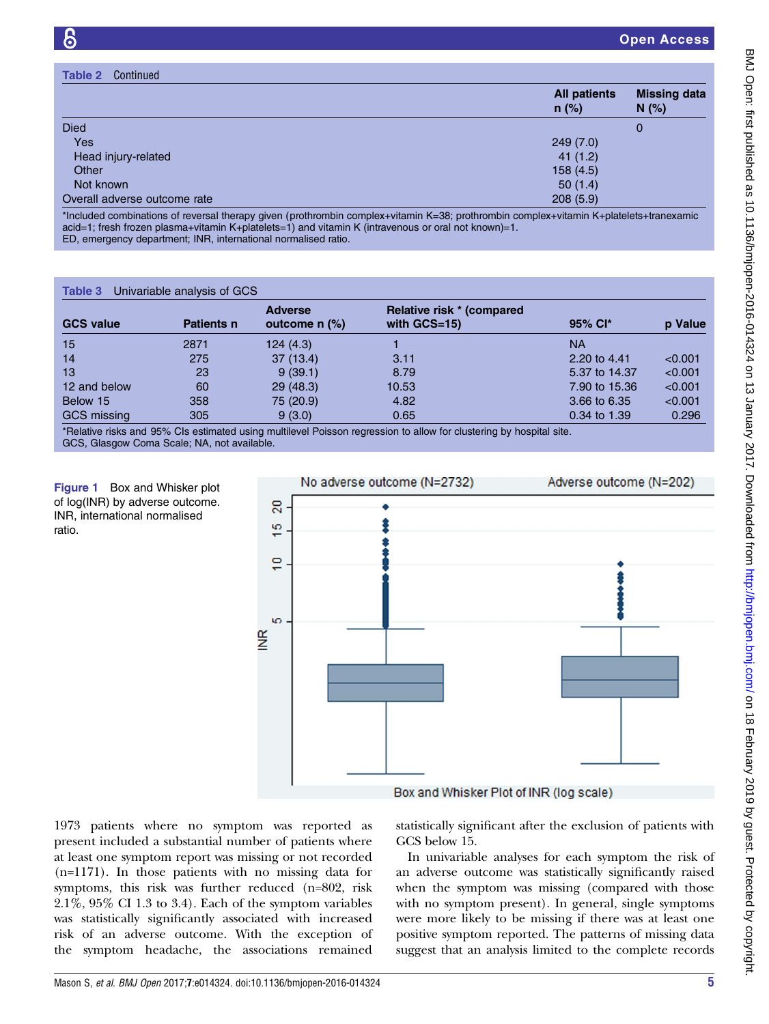<span id="page-4-0"></span>

| Continued<br>Table 2         |                                |                             |
|------------------------------|--------------------------------|-----------------------------|
|                              | <b>All patients</b><br>$n$ (%) | <b>Missing data</b><br>N(%) |
| <b>Died</b>                  |                                | 0                           |
| Yes                          | 249(7.0)                       |                             |
| Head injury-related          | 41(1.2)                        |                             |
| Other                        | 158(4.5)                       |                             |
| Not known                    | 50(1.4)                        |                             |
| Overall adverse outcome rate | 208(5.9)                       |                             |

\*Included combinations of reversal therapy given (prothrombin complex+vitamin K=38; prothrombin complex+vitamin K+platelets+tranexamic acid=1; fresh frozen plasma+vitamin K+platelets=1) and vitamin K (intravenous or oral not known)=1. ED, emergency department; INR, international normalised ratio.

#### Table 3 Univariable analysis of GCS

| <b>GCS value</b>   | <b>Patients n</b> | <b>Adverse</b><br>outcome $n$ $\%$ ) | Relative risk * (compared<br>with $GCS=15$ )                                                                                                                                                                                                                                                                                                                                                                                 | 95% Cl*       | p Value |
|--------------------|-------------------|--------------------------------------|------------------------------------------------------------------------------------------------------------------------------------------------------------------------------------------------------------------------------------------------------------------------------------------------------------------------------------------------------------------------------------------------------------------------------|---------------|---------|
| 15                 | 2871              | 124(4.3)                             |                                                                                                                                                                                                                                                                                                                                                                                                                              | <b>NA</b>     |         |
| 14                 | 275               | 37(13.4)                             | 3.11                                                                                                                                                                                                                                                                                                                                                                                                                         | 2.20 to 4.41  | < 0.001 |
| 13                 | 23                | 9(39.1)                              | 8.79                                                                                                                                                                                                                                                                                                                                                                                                                         | 5.37 to 14.37 | < 0.001 |
| 12 and below       | 60                | 29(48.3)                             | 10.53                                                                                                                                                                                                                                                                                                                                                                                                                        | 7.90 to 15.36 | < 0.001 |
| Below 15           | 358               | 75 (20.9)                            | 4.82                                                                                                                                                                                                                                                                                                                                                                                                                         | 3.66 to 6.35  | < 0.001 |
| <b>GCS</b> missing | 305               | 9(3.0)                               | 0.65                                                                                                                                                                                                                                                                                                                                                                                                                         | 0.34 to 1.39  | 0.296   |
|                    |                   |                                      | $\mathbf{r} = \mathbf{r} + \mathbf{r} + \mathbf{r} + \mathbf{r} + \mathbf{r} + \mathbf{r} + \mathbf{r} + \mathbf{r} + \mathbf{r} + \mathbf{r} + \mathbf{r} + \mathbf{r} + \mathbf{r} + \mathbf{r} + \mathbf{r} + \mathbf{r} + \mathbf{r} + \mathbf{r} + \mathbf{r} + \mathbf{r} + \mathbf{r} + \mathbf{r} + \mathbf{r} + \mathbf{r} + \mathbf{r} + \mathbf{r} + \mathbf{r} + \mathbf{r} + \mathbf{r} + \mathbf{r} + \mathbf$ |               |         |

\*Relative risks and 95% CIs estimated using multilevel Poisson regression to allow for clustering by hospital site. GCS, Glasgow Coma Scale; NA, not available.

Figure 1 Box and Whisker plot of log(INR) by adverse outcome. INR, international normalised ratio.



1973 patients where no symptom was reported as present included a substantial number of patients where at least one symptom report was missing or not recorded (n=1171). In those patients with no missing data for symptoms, this risk was further reduced (n=802, risk 2.1%, 95% CI 1.3 to 3.4). Each of the symptom variables was statistically significantly associated with increased risk of an adverse outcome. With the exception of the symptom headache, the associations remained statistically significant after the exclusion of patients with GCS below 15.

In univariable analyses for each symptom the risk of an adverse outcome was statistically significantly raised when the symptom was missing (compared with those with no symptom present). In general, single symptoms were more likely to be missing if there was at least one positive symptom reported. The patterns of missing data suggest that an analysis limited to the complete records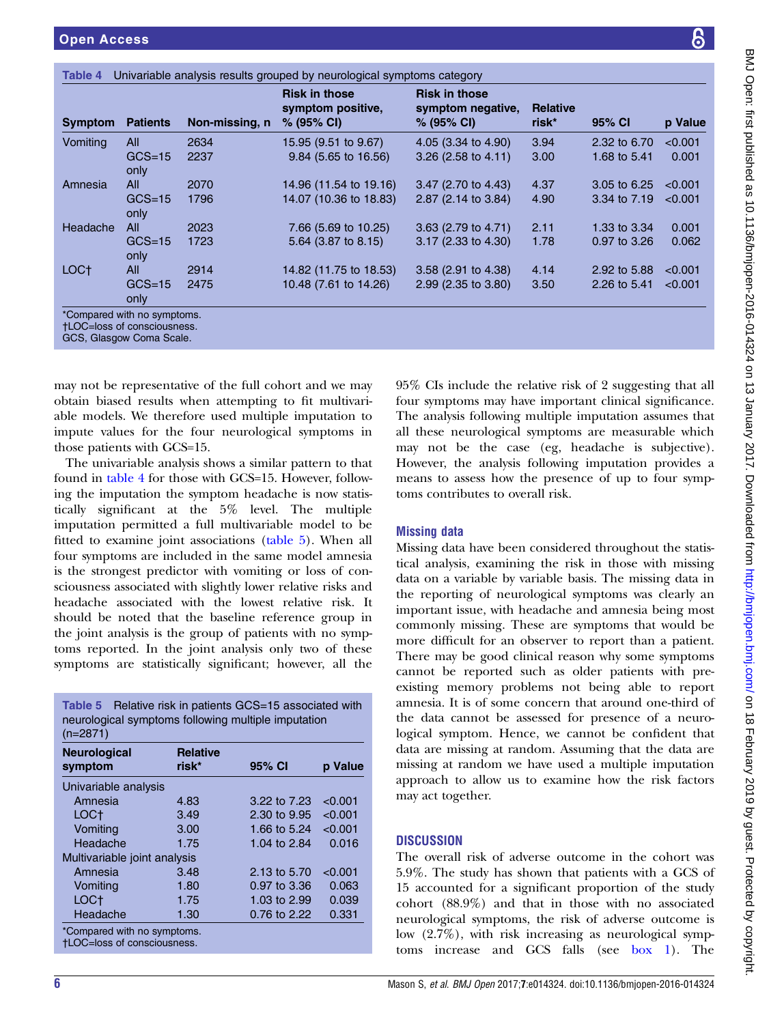<span id="page-5-0"></span>

| <b>Symptom</b>   | <b>Patients</b>    | Non-missing, n | <b>Risk in those</b><br>symptom positive,<br>$% (95\% \text{ Cl})$ | <b>Risk in those</b><br>symptom negative,<br>$% (95\% \text{ Cl})$ | <b>Relative</b><br>risk* | 95% CI       | p Value |
|------------------|--------------------|----------------|--------------------------------------------------------------------|--------------------------------------------------------------------|--------------------------|--------------|---------|
| Vomiting         | All                | 2634           | 15.95 (9.51 to 9.67)                                               | 4.05 (3.34 to 4.90)                                                | 3.94                     | 2.32 to 6.70 | < 0.001 |
|                  | $GCS = 15$<br>only | 2237           | 9.84 (5.65 to 16.56)                                               | 3.26 $(2.58 \text{ to } 4.11)$                                     | 3.00                     | 1.68 to 5.41 | 0.001   |
| Amnesia          | All                | 2070           | 14.96 (11.54 to 19.16)                                             | 3.47 (2.70 to 4.43)                                                | 4.37                     | 3.05 to 6.25 | < 0.001 |
|                  | $GCS = 15$<br>only | 1796           | 14.07 (10.36 to 18.83)                                             | 2.87 (2.14 to 3.84)                                                | 4.90                     | 3.34 to 7.19 | < 0.001 |
| Headache         | All                | 2023           | 7.66 (5.69 to 10.25)                                               | 3.63 (2.79 to 4.71)                                                | 2.11                     | 1.33 to 3.34 | 0.001   |
|                  | $GCS = 15$<br>only | 1723           | $5.64$ (3.87 to 8.15)                                              | 3.17 (2.33 to 4.30)                                                | 1.78                     | 0.97 to 3.26 | 0.062   |
| LOC <sup>+</sup> | <b>All</b>         | 2914           | 14.82 (11.75 to 18.53)                                             | 3.58 (2.91 to 4.38)                                                | 4.14                     | 2.92 to 5.88 | < 0.001 |
|                  | $GCS = 15$<br>only | 2475           | 10.48 (7.61 to 14.26)                                              | 2.99 (2.35 to 3.80)                                                | 3.50                     | 2.26 to 5.41 | < 0.001 |

GCS, Glasgow Coma Scale.

may not be representative of the full cohort and we may obtain biased results when attempting to fit multivariable models. We therefore used multiple imputation to impute values for the four neurological symptoms in those patients with GCS=15.

The univariable analysis shows a similar pattern to that found in table 4 for those with GCS=15. However, following the imputation the symptom headache is now statistically significant at the 5% level. The multiple imputation permitted a full multivariable model to be fitted to examine joint associations (table 5). When all four symptoms are included in the same model amnesia is the strongest predictor with vomiting or loss of consciousness associated with slightly lower relative risks and headache associated with the lowest relative risk. It should be noted that the baseline reference group in the joint analysis is the group of patients with no symptoms reported. In the joint analysis only two of these symptoms are statistically significant; however, all the

Table 5 Relative risk in patients GCS=15 associated with neurological symptoms following multiple imputation (n=2871)

| <b>Neurological</b>                                         | <b>Relative</b> |                |         |  |  |  |  |
|-------------------------------------------------------------|-----------------|----------------|---------|--|--|--|--|
| symptom                                                     | risk*           | 95% CI         | p Value |  |  |  |  |
| Univariable analysis                                        |                 |                |         |  |  |  |  |
| Amnesia                                                     | 4.83            | 3.22 to 7.23   | < 0.001 |  |  |  |  |
| LOC+                                                        | 3.49            | 2.30 to 9.95   | < 0.001 |  |  |  |  |
| Vomiting                                                    | 3.00            | 1.66 to 5.24   | < 0.001 |  |  |  |  |
| Headache                                                    | 1.75            | 1.04 to $2.84$ | 0.016   |  |  |  |  |
| Multivariable joint analysis                                |                 |                |         |  |  |  |  |
| Amnesia                                                     | 3.48            | 2.13 to 5.70   | < 0.001 |  |  |  |  |
| Vomiting                                                    | 1.80            | 0.97 to 3.36   | 0.063   |  |  |  |  |
| LOC <sup>+</sup>                                            | 1.75            | 1.03 to 2.99   | 0.039   |  |  |  |  |
| Headache                                                    | 1.30            | 0.76 to 2.22   | 0.331   |  |  |  |  |
| *Compared with no symptoms.<br>$HOC = loss of conservation$ |                 |                |         |  |  |  |  |

†LOC=loss of consciousness.

95% CIs include the relative risk of 2 suggesting that all four symptoms may have important clinical significance. The analysis following multiple imputation assumes that all these neurological symptoms are measurable which may not be the case (eg, headache is subjective). However, the analysis following imputation provides a means to assess how the presence of up to four symptoms contributes to overall risk.

## Missing data

Missing data have been considered throughout the statistical analysis, examining the risk in those with missing data on a variable by variable basis. The missing data in the reporting of neurological symptoms was clearly an important issue, with headache and amnesia being most commonly missing. These are symptoms that would be more difficult for an observer to report than a patient. There may be good clinical reason why some symptoms cannot be reported such as older patients with preexisting memory problems not being able to report amnesia. It is of some concern that around one-third of the data cannot be assessed for presence of a neurological symptom. Hence, we cannot be confident that data are missing at random. Assuming that the data are missing at random we have used a multiple imputation approach to allow us to examine how the risk factors may act together.

## **DISCUSSION**

The overall risk of adverse outcome in the cohort was 5.9%. The study has shown that patients with a GCS of 15 accounted for a significant proportion of the study cohort (88.9%) and that in those with no associated neurological symptoms, the risk of adverse outcome is low (2.7%), with risk increasing as neurological symptoms increase and GCS falls (see [box 1\)](#page-6-0). The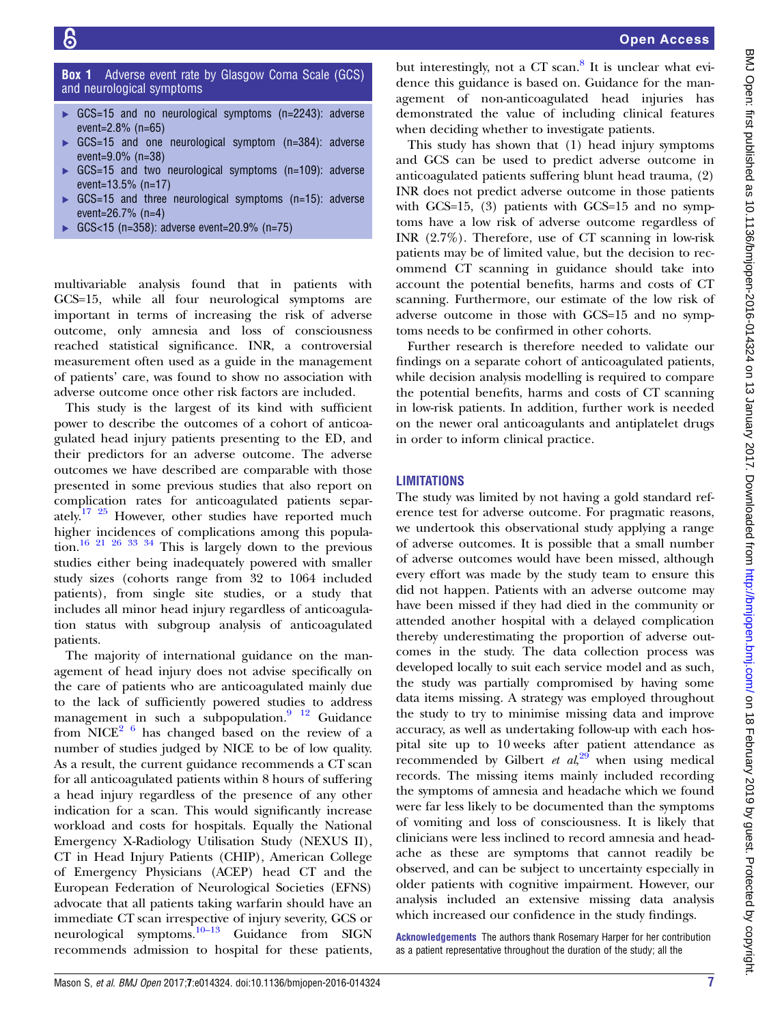<span id="page-6-0"></span>**Box 1** Adverse event rate by Glasgow Coma Scale (GCS) and neurological symptoms

- ▸ GCS=15 and no neurological symptoms (n=2243): adverse event=2.8% (n=65)
- GCS=15 and one neurological symptom (n=384): adverse event=9.0% (n=38)
- ▸ GCS=15 and two neurological symptoms (n=109): adverse event=13.5% (n=17)
- GCS=15 and three neurological symptoms (n=15): adverse event=26.7% (n=4)
- ▸ GCS<15 (n=358): adverse event=20.9% (n=75)

multivariable analysis found that in patients with GCS=15, while all four neurological symptoms are important in terms of increasing the risk of adverse outcome, only amnesia and loss of consciousness reached statistical significance. INR, a controversial measurement often used as a guide in the management of patients' care, was found to show no association with adverse outcome once other risk factors are included.

This study is the largest of its kind with sufficient power to describe the outcomes of a cohort of anticoagulated head injury patients presenting to the ED, and their predictors for an adverse outcome. The adverse outcomes we have described are comparable with those presented in some previous studies that also report on complication rates for anticoagulated patients separately.<sup>17 25</sup> However, other studies have reported much higher incidences of complications among this popula-tion.<sup>[16 21 26 33 34](#page-7-0)</sup> This is largely down to the previous studies either being inadequately powered with smaller study sizes (cohorts range from 32 to 1064 included patients), from single site studies, or a study that includes all minor head injury regardless of anticoagulation status with subgroup analysis of anticoagulated patients.

The majority of international guidance on the management of head injury does not advise specifically on the care of patients who are anticoagulated mainly due to the lack of sufficiently powered studies to address management in such a subpopulation.<sup>9</sup> <sup>12</sup> Guidance from NICE<sup>[2 6](#page-7-0)</sup> has changed based on the review of a number of studies judged by NICE to be of low quality. As a result, the current guidance recommends a CT scan for all anticoagulated patients within 8 hours of suffering a head injury regardless of the presence of any other indication for a scan. This would significantly increase workload and costs for hospitals. Equally the National Emergency X-Radiology Utilisation Study (NEXUS II), CT in Head Injury Patients (CHIP), American College of Emergency Physicians (ACEP) head CT and the European Federation of Neurological Societies (EFNS) advocate that all patients taking warfarin should have an immediate CT scan irrespective of injury severity, GCS or neurological symptoms.<sup>[10](#page-7-0)–13</sup> Guidance from SIGN recommends admission to hospital for these patients,

but interestingly, not a  $CT$  scan.<sup>[8](#page-7-0)</sup> It is unclear what evidence this guidance is based on. Guidance for the management of non-anticoagulated head injuries has demonstrated the value of including clinical features when deciding whether to investigate patients.

This study has shown that (1) head injury symptoms and GCS can be used to predict adverse outcome in anticoagulated patients suffering blunt head trauma, (2) INR does not predict adverse outcome in those patients with GCS=15, (3) patients with GCS=15 and no symptoms have a low risk of adverse outcome regardless of INR (2.7%). Therefore, use of CT scanning in low-risk patients may be of limited value, but the decision to recommend CT scanning in guidance should take into account the potential benefits, harms and costs of CT scanning. Furthermore, our estimate of the low risk of adverse outcome in those with GCS=15 and no symptoms needs to be confirmed in other cohorts.

Further research is therefore needed to validate our findings on a separate cohort of anticoagulated patients, while decision analysis modelling is required to compare the potential benefits, harms and costs of CT scanning in low-risk patients. In addition, further work is needed on the newer oral anticoagulants and antiplatelet drugs in order to inform clinical practice.

# **LIMITATIONS**

The study was limited by not having a gold standard reference test for adverse outcome. For pragmatic reasons, we undertook this observational study applying a range of adverse outcomes. It is possible that a small number of adverse outcomes would have been missed, although every effort was made by the study team to ensure this did not happen. Patients with an adverse outcome may have been missed if they had died in the community or attended another hospital with a delayed complication thereby underestimating the proportion of adverse outcomes in the study. The data collection process was developed locally to suit each service model and as such, the study was partially compromised by having some data items missing. A strategy was employed throughout the study to try to minimise missing data and improve accuracy, as well as undertaking follow-up with each hospital site up to 10 weeks after patient attendance as recommended by Gilbert et  $al$ <sup>[29](#page-7-0)</sup> when using medical records. The missing items mainly included recording the symptoms of amnesia and headache which we found were far less likely to be documented than the symptoms of vomiting and loss of consciousness. It is likely that clinicians were less inclined to record amnesia and headache as these are symptoms that cannot readily be observed, and can be subject to uncertainty especially in older patients with cognitive impairment. However, our analysis included an extensive missing data analysis which increased our confidence in the study findings.

Acknowledgements The authors thank Rosemary Harper for her contribution as a patient representative throughout the duration of the study; all the